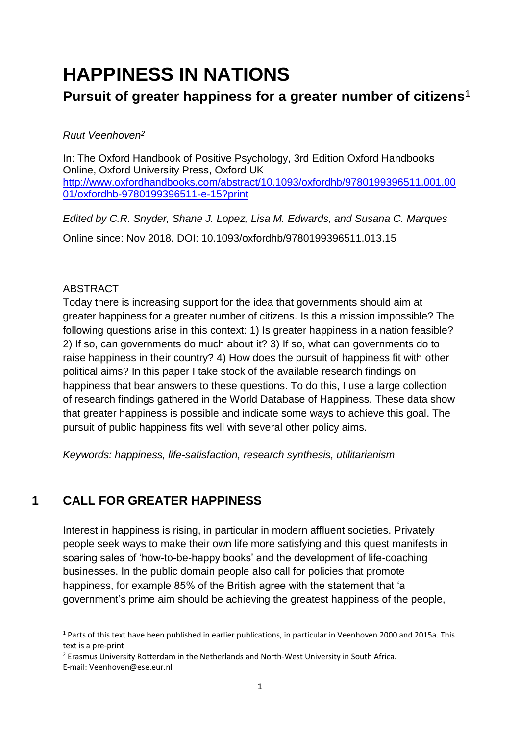# **HAPPINESS IN NATIONS**

# **Pursuit of greater happiness for a greater number of citizens**<sup>1</sup>

# *Ruut Veenhoven<sup>2</sup>*

In: [The Oxford Handbook of Positive Psychology, 3rd Edition O](http://www.oxfordhandbooks.com/view/10.1093/oxfordhb/9780199396511.001.0001/oxfordhb-9780199396511)xford Handbooks Online, Oxford University Press, Oxford UK [http://www.oxfordhandbooks.com/abstract/10.1093/oxfordhb/9780199396511.001.00](http://www.oxfordhandbooks.com/abstract/10.1093/oxfordhb/9780199396511.001.0001/oxfordhb-9780199396511-e-15?print) [01/oxfordhb-9780199396511-e-15?print](http://www.oxfordhandbooks.com/abstract/10.1093/oxfordhb/9780199396511.001.0001/oxfordhb-9780199396511-e-15?print)

*Edited by C.R. Snyder, Shane J. Lopez, Lisa M. Edwards, and Susana C. Marques*  Online since: Nov 2018. DOI: 10.1093/oxfordhb/9780199396511.013.15

# ABSTRACT

1

Today there is increasing support for the idea that governments should aim at greater happiness for a greater number of citizens. Is this a mission impossible? The following questions arise in this context: 1) Is greater happiness in a nation feasible? 2) If so, can governments do much about it? 3) If so, what can governments do to raise happiness in their country? 4) How does the pursuit of happiness fit with other political aims? In this paper I take stock of the available research findings on happiness that bear answers to these questions. To do this, I use a large collection of research findings gathered in the World Database of Happiness. These data show that greater happiness is possible and indicate some ways to achieve this goal. The pursuit of public happiness fits well with several other policy aims.

*Keywords: happiness, life-satisfaction, research synthesis, utilitarianism*

# **1 CALL FOR GREATER HAPPINESS**

Interest in happiness is rising, in particular in modern affluent societies. Privately people seek ways to make their own life more satisfying and this quest manifests in soaring sales of 'how-to-be-happy books' and the development of life-coaching businesses. In the public domain people also call for policies that promote happiness, for example 85% of the British agree with the statement that 'a government's prime aim should be achieving the greatest happiness of the people,

<sup>&</sup>lt;sup>1</sup> Parts of this text have been published in earlier publications, in particular in Veenhoven 2000 and 2015a. This text is a pre-print

 $<sup>2</sup>$  Erasmus University Rotterdam in the Netherlands and North-West University in South Africa.</sup> E-mail: Veenhoven@ese.eur.nl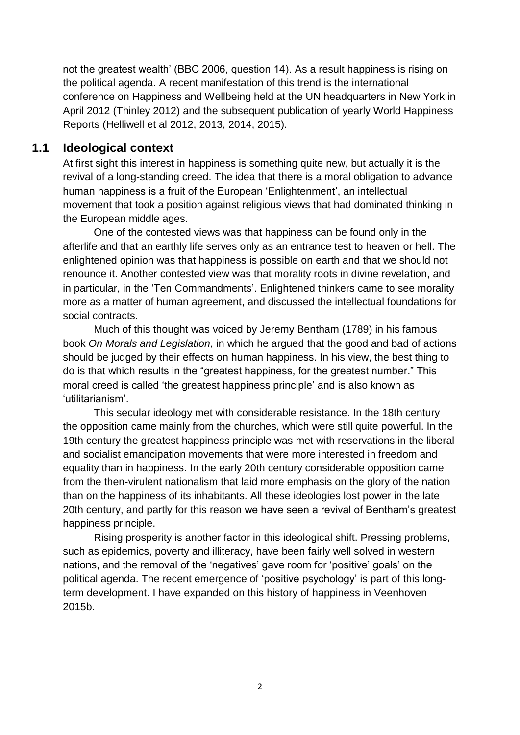not the greatest wealth' (BBC 2006, question 14). As a result happiness is rising on the political agenda. A recent manifestation of this trend is the international conference on Happiness and Wellbeing held at the UN headquarters in New York in April 2012 (Thinley 2012) and the subsequent publication of yearly World Happiness Reports (Helliwell et al 2012, 2013, 2014, 2015).

# **1.1 Ideological context**

At first sight this interest in happiness is something quite new, but actually it is the revival of a long-standing creed. The idea that there is a moral obligation to advance human happiness is a fruit of the European 'Enlightenment', an intellectual movement that took a position against religious views that had dominated thinking in the European middle ages.

One of the contested views was that happiness can be found only in the afterlife and that an earthly life serves only as an entrance test to heaven or hell. The enlightened opinion was that happiness is possible on earth and that we should not renounce it. Another contested view was that morality roots in divine revelation, and in particular, in the 'Ten Commandments'. Enlightened thinkers came to see morality more as a matter of human agreement, and discussed the intellectual foundations for social contracts.

Much of this thought was voiced by Jeremy Bentham (1789) in his famous book *On Morals and Legislation*, in which he argued that the good and bad of actions should be judged by their effects on human happiness. In his view, the best thing to do is that which results in the "greatest happiness, for the greatest number." This moral creed is called 'the greatest happiness principle' and is also known as 'utilitarianism'.

This secular ideology met with considerable resistance. In the 18th century the opposition came mainly from the churches, which were still quite powerful. In the 19th century the greatest happiness principle was met with reservations in the liberal and socialist emancipation movements that were more interested in freedom and equality than in happiness. In the early 20th century considerable opposition came from the then-virulent nationalism that laid more emphasis on the glory of the nation than on the happiness of its inhabitants. All these ideologies lost power in the late 20th century, and partly for this reason we have seen a revival of Bentham's greatest happiness principle.

Rising prosperity is another factor in this ideological shift. Pressing problems, such as epidemics, poverty and illiteracy, have been fairly well solved in western nations, and the removal of the 'negatives' gave room for 'positive' goals' on the political agenda. The recent emergence of 'positive psychology' is part of this longterm development. I have expanded on this history of happiness in Veenhoven 2015b.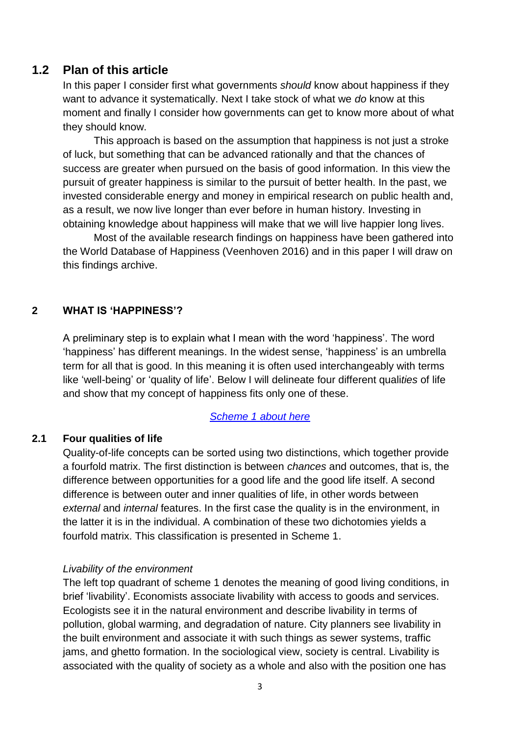# **1.2 Plan of this article**

In this paper I consider first what governments *should* know about happiness if they want to advance it systematically. Next I take stock of what we *do* know at this moment and finally I consider how governments can get to know more about of what they should know.

This approach is based on the assumption that happiness is not just a stroke of luck, but something that can be advanced rationally and that the chances of success are greater when pursued on the basis of good information. In this view the pursuit of greater happiness is similar to the pursuit of better health. In the past, we invested considerable energy and money in empirical research on public health and, as a result, we now live longer than ever before in human history. Investing in obtaining knowledge about happiness will make that we will live happier long lives.

Most of the available research findings on happiness have been gathered into the World Database of Happiness (Veenhoven 2016) and in this paper I will draw on this findings archive.

#### **2 WHAT IS 'HAPPINESS'?**

A preliminary step is to explain what I mean with the word 'happiness'. The word 'happiness' has different meanings. In the widest sense, 'happiness' is an umbrella term for all that is good. In this meaning it is often used interchangeably with terms like 'well-being' or 'quality of life'. Below I will delineate four different quali*ties* of life and show that my concept of happiness fits only one of these.

## *Scheme 1 [about here](#page-21-0)*

## **2.1 Four qualities of life**

Quality-of-life concepts can be sorted using two distinctions, which together provide a fourfold matrix. The first distinction is between *chances* and outcomes, that is, the difference between opportunities for a good life and the good life itself. A second difference is between outer and inner qualities of life, in other words between *external* and *internal* features. In the first case the quality is in the environment, in the latter it is in the individual. A combination of these two dichotomies yields a fourfold matrix. This classification is presented in Scheme 1.

#### *Livability of the environment*

The left top quadrant of scheme 1 denotes the meaning of good living conditions, in brief 'livability'. Economists associate livability with access to goods and services. Ecologists see it in the natural environment and describe livability in terms of pollution, global warming, and degradation of nature. City planners see livability in the built environment and associate it with such things as sewer systems, traffic jams, and ghetto formation. In the sociological view, society is central. Livability is associated with the quality of society as a whole and also with the position one has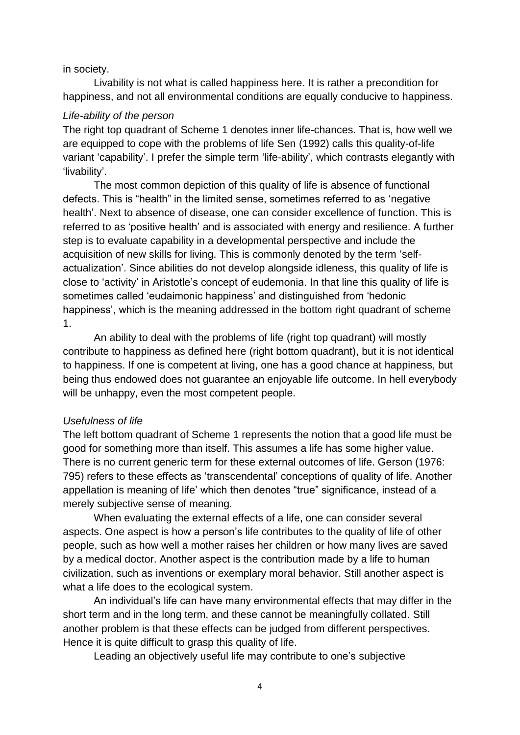#### in society.

Livability is not what is called happiness here. It is rather a precondition for happiness, and not all environmental conditions are equally conducive to happiness.

#### *Life-ability of the person*

The right top quadrant of Scheme 1 denotes inner life-chances. That is, how well we are equipped to cope with the problems of life Sen (1992) calls this quality-of-life variant 'capability'. I prefer the simple term 'life-ability', which contrasts elegantly with 'livability'.

The most common depiction of this quality of life is absence of functional defects. This is "health" in the limited sense, sometimes referred to as 'negative health'. Next to absence of disease, one can consider excellence of function. This is referred to as 'positive health' and is associated with energy and resilience. A further step is to evaluate capability in a developmental perspective and include the acquisition of new skills for living. This is commonly denoted by the term 'selfactualization'. Since abilities do not develop alongside idleness, this quality of life is close to 'activity' in Aristotle's concept of eudemonia. In that line this quality of life is sometimes called 'eudaimonic happiness' and distinguished from 'hedonic happiness', which is the meaning addressed in the bottom right quadrant of scheme 1.

An ability to deal with the problems of life (right top quadrant) will mostly contribute to happiness as defined here (right bottom quadrant), but it is not identical to happiness. If one is competent at living, one has a good chance at happiness, but being thus endowed does not guarantee an enjoyable life outcome. In hell everybody will be unhappy, even the most competent people.

#### *Usefulness of life*

The left bottom quadrant of Scheme 1 represents the notion that a good life must be good for something more than itself. This assumes a life has some higher value. There is no current generic term for these external outcomes of life. Gerson (1976: 795) refers to these effects as 'transcendental' conceptions of quality of life. Another appellation is meaning of life' which then denotes "true" significance, instead of a merely subjective sense of meaning.

When evaluating the external effects of a life, one can consider several aspects. One aspect is how a person's life contributes to the quality of life of other people, such as how well a mother raises her children or how many lives are saved by a medical doctor. Another aspect is the contribution made by a life to human civilization, such as inventions or exemplary moral behavior. Still another aspect is what a life does to the ecological system.

An individual's life can have many environmental effects that may differ in the short term and in the long term, and these cannot be meaningfully collated. Still another problem is that these effects can be judged from different perspectives. Hence it is quite difficult to grasp this quality of life.

Leading an objectively useful life may contribute to one's subjective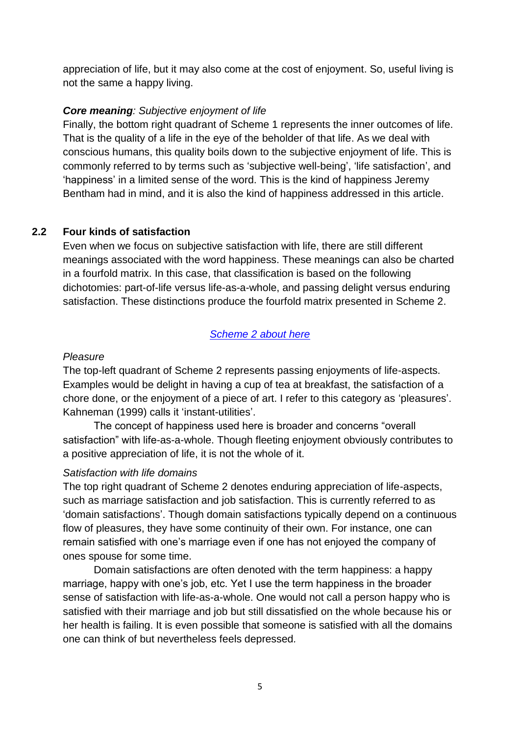appreciation of life, but it may also come at the cost of enjoyment. So, useful living is not the same a happy living.

#### *Core meaning: Subjective enjoyment of life*

Finally, the bottom right quadrant of Scheme 1 represents the inner outcomes of life. That is the quality of a life in the eye of the beholder of that life. As we deal with conscious humans, this quality boils down to the subjective enjoyment of life. This is commonly referred to by terms such as 'subjective well-being', 'life satisfaction', and 'happiness' in a limited sense of the word. This is the kind of happiness Jeremy Bentham had in mind, and it is also the kind of happiness addressed in this article.

#### **2.2 Four kinds of satisfaction**

Even when we focus on subjective satisfaction with life, there are still different meanings associated with the word happiness. These meanings can also be charted in a fourfold matrix. In this case, that classification is based on the following dichotomies: part-of-life versus life-as-a-whole, and passing delight versus enduring satisfaction. These distinctions produce the fourfold matrix presented in Scheme 2.

# *Scheme 2 [about here](#page-21-1)*

#### *Pleasure*

The top-left quadrant of Scheme 2 represents passing enjoyments of life-aspects. Examples would be delight in having a cup of tea at breakfast, the satisfaction of a chore done, or the enjoyment of a piece of art. I refer to this category as 'pleasures'. Kahneman (1999) calls it 'instant-utilities'.

The concept of happiness used here is broader and concerns "overall satisfaction" with life-as-a-whole. Though fleeting enjoyment obviously contributes to a positive appreciation of life, it is not the whole of it.

#### *Satisfaction with life domains*

The top right quadrant of Scheme 2 denotes enduring appreciation of life-aspects, such as marriage satisfaction and job satisfaction. This is currently referred to as 'domain satisfactions'. Though domain satisfactions typically depend on a continuous flow of pleasures, they have some continuity of their own. For instance, one can remain satisfied with one's marriage even if one has not enjoyed the company of ones spouse for some time.

Domain satisfactions are often denoted with the term happiness: a happy marriage, happy with one's job, etc. Yet I use the term happiness in the broader sense of satisfaction with life-as-a-whole. One would not call a person happy who is satisfied with their marriage and job but still dissatisfied on the whole because his or her health is failing. It is even possible that someone is satisfied with all the domains one can think of but nevertheless feels depressed*.*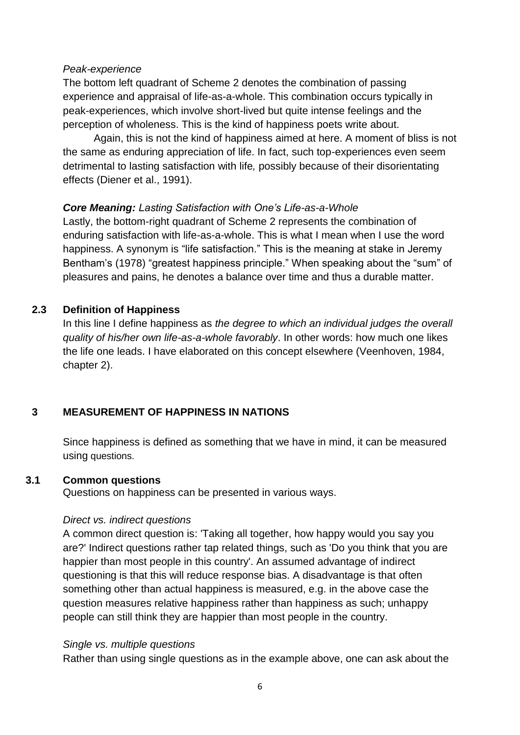#### *Peak-experience*

The bottom left quadrant of Scheme 2 denotes the combination of passing experience and appraisal of life-as-a-whole. This combination occurs typically in peak-experiences, which involve short-lived but quite intense feelings and the perception of wholeness. This is the kind of happiness poets write about.

Again, this is not the kind of happiness aimed at here. A moment of bliss is not the same as enduring appreciation of life. In fact, such top-experiences even seem detrimental to lasting satisfaction with life*,* possibly because of their disorientating effects (Diener et al., 1991).

#### *Core Meaning: Lasting Satisfaction with One's Life-as-a-Whole*

Lastly, the bottom-right quadrant of Scheme 2 represents the combination of enduring satisfaction with life-as-a-whole. This is what I mean when I use the word happiness. A synonym is "life satisfaction." This is the meaning at stake in Jeremy Bentham's (1978) "greatest happiness principle." When speaking about the "sum" of pleasures and pains, he denotes a balance over time and thus a durable matter.

## **2.3 Definition of Happiness**

In this line I define happiness as *the degree to which an individual judges the overall quality of his/her own life-as-a-whole favorably*. In other words: how much one likes the life one leads. I have elaborated on this concept elsewhere (Veenhoven, 1984, chapter 2).

## **3 MEASUREMENT OF HAPPINESS IN NATIONS**

Since happiness is defined as something that we have in mind, it can be measured using questions.

#### **3.1 Common questions**

Questions on happiness can be presented in various ways.

#### *Direct vs. indirect questions*

A common direct question is: 'Taking all together, how happy would you say you are?' Indirect questions rather tap related things, such as 'Do you think that you are happier than most people in this country'. An assumed advantage of indirect questioning is that this will reduce response bias. A disadvantage is that often something other than actual happiness is measured, e.g. in the above case the question measures relative happiness rather than happiness as such; unhappy people can still think they are happier than most people in the country.

#### *Single vs. multiple questions*

Rather than using single questions as in the example above, one can ask about the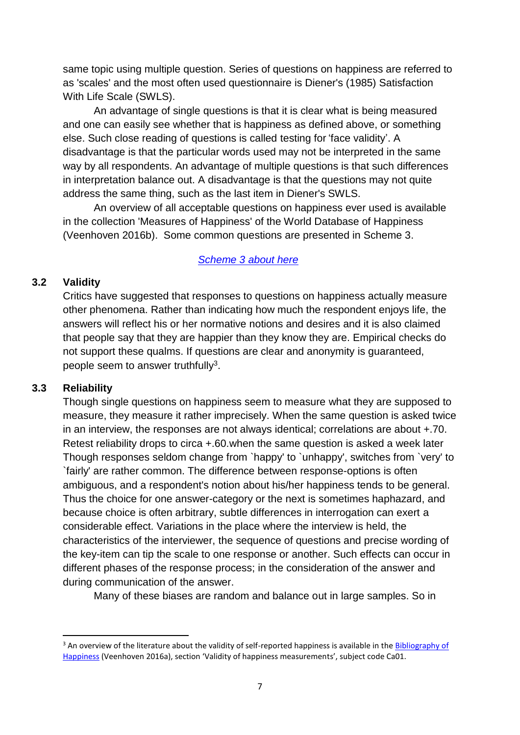same topic using multiple question. Series of questions on happiness are referred to as 'scales' and the most often used questionnaire is Diener's (1985) Satisfaction With Life Scale (SWLS).

An advantage of single questions is that it is clear what is being measured and one can easily see whether that is happiness as defined above, or something else. Such close reading of questions is called testing for 'face validity'. A disadvantage is that the particular words used may not be interpreted in the same way by all respondents. An advantage of multiple questions is that such differences in interpretation balance out. A disadvantage is that the questions may not quite address the same thing, such as the last item in Diener's SWLS.

An overview of all acceptable questions on happiness ever used is available in the collection 'Measures of Happiness' of the World Database of Happiness (Veenhoven 2016b). Some common questions are presented in Scheme 3.

*Scheme 3 [about here](#page-22-0)*

## **3.2 Validity**

Critics have suggested that responses to questions on happiness actually measure other phenomena. Rather than indicating how much the respondent enjoys life, the answers will reflect his or her normative notions and desires and it is also claimed that people say that they are happier than they know they are. Empirical checks do not support these qualms. If questions are clear and anonymity is guaranteed, people seem to answer truthfully<sup>3</sup>.

## **3.3 Reliability**

**.** 

Though single questions on happiness seem to measure what they are supposed to measure, they measure it rather imprecisely. When the same question is asked twice in an interview, the responses are not always identical; correlations are about +.70. Retest reliability drops to circa +.60.when the same question is asked a week later Though responses seldom change from `happy' to `unhappy', switches from `very' to `fairly' are rather common. The difference between response-options is often ambiguous, and a respondent's notion about his/her happiness tends to be general. Thus the choice for one answer-category or the next is sometimes haphazard, and because choice is often arbitrary, subtle differences in interrogation can exert a considerable effect. Variations in the place where the interview is held, the characteristics of the interviewer, the sequence of questions and precise wording of the key-item can tip the scale to one response or another. Such effects can occur in different phases of the response process; in the consideration of the answer and during communication of the answer.

Many of these biases are random and balance out in large samples. So in

<sup>&</sup>lt;sup>3</sup> An overview of the literature about the validity of self-reported happiness is available in the Bibliography of [Happiness](http://worlddatabaseofhappiness.eur.nl/hap_bib/bib_fp.php) (Veenhoven 2016a), section 'Validity of happiness measurements', subject code Ca01.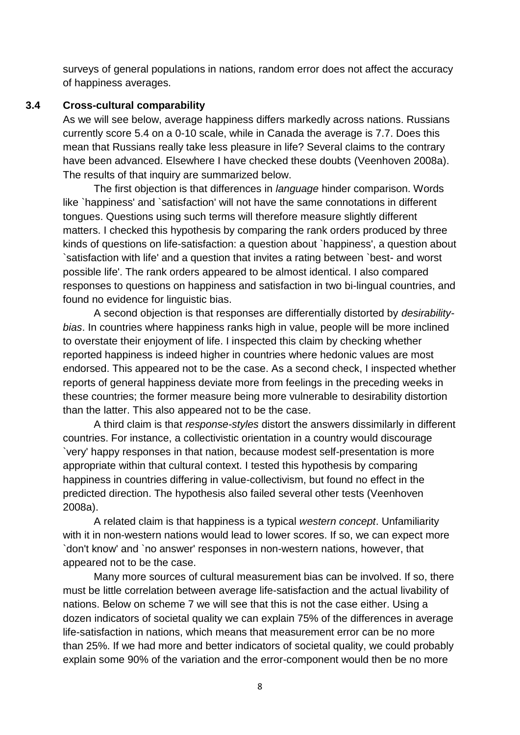surveys of general populations in nations, random error does not affect the accuracy of happiness averages.

#### **3.4 Cross-cultural comparability**

As we will see below, average happiness differs markedly across nations. Russians currently score 5.4 on a 0-10 scale, while in Canada the average is 7.7. Does this mean that Russians really take less pleasure in life? Several claims to the contrary have been advanced. Elsewhere I have checked these doubts (Veenhoven 2008a). The results of that inquiry are summarized below.

The first objection is that differences in *language* hinder comparison. Words like `happiness' and `satisfaction' will not have the same connotations in different tongues. Questions using such terms will therefore measure slightly different matters. I checked this hypothesis by comparing the rank orders produced by three kinds of questions on life-satisfaction: a question about `happiness', a question about `satisfaction with life' and a question that invites a rating between `best- and worst possible life'. The rank orders appeared to be almost identical. I also compared responses to questions on happiness and satisfaction in two bi-lingual countries, and found no evidence for linguistic bias.

A second objection is that responses are differentially distorted by *desirabilitybias*. In countries where happiness ranks high in value, people will be more inclined to overstate their enjoyment of life. I inspected this claim by checking whether reported happiness is indeed higher in countries where hedonic values are most endorsed. This appeared not to be the case. As a second check, I inspected whether reports of general happiness deviate more from feelings in the preceding weeks in these countries; the former measure being more vulnerable to desirability distortion than the latter. This also appeared not to be the case.

A third claim is that *response-styles* distort the answers dissimilarly in different countries. For instance, a collectivistic orientation in a country would discourage `very' happy responses in that nation, because modest self-presentation is more appropriate within that cultural context. I tested this hypothesis by comparing happiness in countries differing in value-collectivism, but found no effect in the predicted direction. The hypothesis also failed several other tests (Veenhoven 2008a).

A related claim is that happiness is a typical *western concept*. Unfamiliarity with it in non-western nations would lead to lower scores. If so, we can expect more `don't know' and `no answer' responses in non-western nations, however, that appeared not to be the case.

Many more sources of cultural measurement bias can be involved. If so, there must be little correlation between average life-satisfaction and the actual livability of nations. Below on scheme 7 we will see that this is not the case either. Using a dozen indicators of societal quality we can explain 75% of the differences in average life-satisfaction in nations, which means that measurement error can be no more than 25%. If we had more and better indicators of societal quality, we could probably explain some 90% of the variation and the error-component would then be no more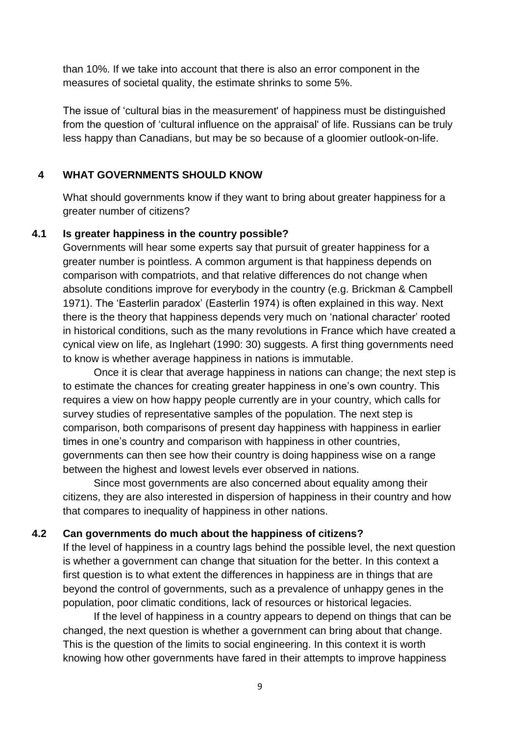than 10%. If we take into account that there is also an error component in the measures of societal quality, the estimate shrinks to some 5%.

The issue of 'cultural bias in the measurement' of happiness must be distinguished from the question of 'cultural influence on the appraisal' of life. Russians can be truly less happy than Canadians, but may be so because of a gloomier outlook-on-life.

#### **4 WHAT GOVERNMENTS SHOULD KNOW**

What should governments know if they want to bring about greater happiness for a greater number of citizens?

#### **4.1 Is greater happiness in the country possible?**

Governments will hear some experts say that pursuit of greater happiness for a greater number is pointless. A common argument is that happiness depends on comparison with compatriots, and that relative differences do not change when absolute conditions improve for everybody in the country (e.g. Brickman & Campbell 1971). The 'Easterlin paradox' (Easterlin 1974) is often explained in this way. Next there is the theory that happiness depends very much on 'national character' rooted in historical conditions, such as the many revolutions in France which have created a cynical view on life, as Inglehart (1990: 30) suggests. A first thing governments need to know is whether average happiness in nations is immutable.

Once it is clear that average happiness in nations can change; the next step is to estimate the chances for creating greater happiness in one's own country. This requires a view on how happy people currently are in your country, which calls for survey studies of representative samples of the population. The next step is comparison, both comparisons of present day happiness with happiness in earlier times in one's country and comparison with happiness in other countries, governments can then see how their country is doing happiness wise on a range between the highest and lowest levels ever observed in nations.

Since most governments are also concerned about equality among their citizens, they are also interested in dispersion of happiness in their country and how that compares to inequality of happiness in other nations.

#### **4.2 Can governments do much about the happiness of citizens?**

If the level of happiness in a country lags behind the possible level, the next question is whether a government can change that situation for the better. In this context a first question is to what extent the differences in happiness are in things that are beyond the control of governments, such as a prevalence of unhappy genes in the population, poor climatic conditions, lack of resources or historical legacies.

If the level of happiness in a country appears to depend on things that can be changed, the next question is whether a government can bring about that change. This is the question of the limits to social engineering. In this context it is worth knowing how other governments have fared in their attempts to improve happiness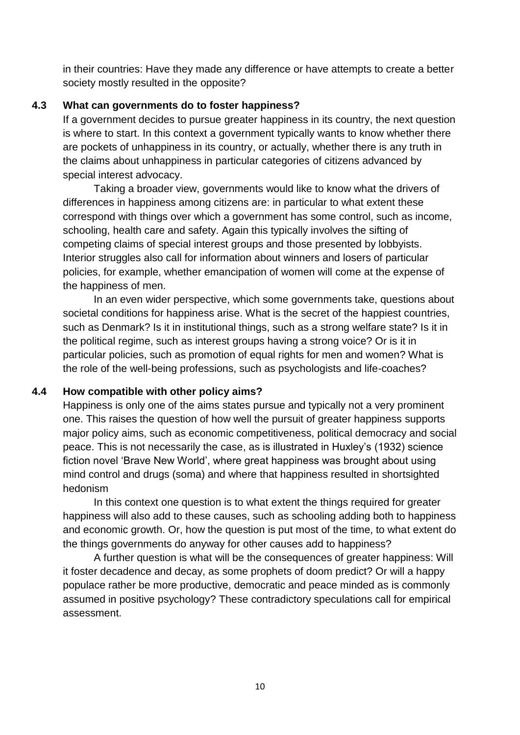in their countries: Have they made any difference or have attempts to create a better society mostly resulted in the opposite?

## **4.3 What can governments do to foster happiness?**

If a government decides to pursue greater happiness in its country, the next question is where to start. In this context a government typically wants to know whether there are pockets of unhappiness in its country, or actually, whether there is any truth in the claims about unhappiness in particular categories of citizens advanced by special interest advocacy.

Taking a broader view, governments would like to know what the drivers of differences in happiness among citizens are: in particular to what extent these correspond with things over which a government has some control, such as income, schooling, health care and safety. Again this typically involves the sifting of competing claims of special interest groups and those presented by lobbyists. Interior struggles also call for information about winners and losers of particular policies, for example, whether emancipation of women will come at the expense of the happiness of men.

In an even wider perspective, which some governments take, questions about societal conditions for happiness arise. What is the secret of the happiest countries, such as Denmark? Is it in institutional things, such as a strong welfare state? Is it in the political regime, such as interest groups having a strong voice? Or is it in particular policies, such as promotion of equal rights for men and women? What is the role of the well-being professions, such as psychologists and life-coaches?

#### **4.4 How compatible with other policy aims?**

Happiness is only one of the aims states pursue and typically not a very prominent one. This raises the question of how well the pursuit of greater happiness supports major policy aims, such as economic competitiveness, political democracy and social peace. This is not necessarily the case, as is illustrated in Huxley's (1932) science fiction novel 'Brave New World', where great happiness was brought about using mind control and drugs (soma) and where that happiness resulted in shortsighted hedonism

In this context one question is to what extent the things required for greater happiness will also add to these causes, such as schooling adding both to happiness and economic growth. Or, how the question is put most of the time, to what extent do the things governments do anyway for other causes add to happiness?

A further question is what will be the consequences of greater happiness: Will it foster decadence and decay, as some prophets of doom predict? Or will a happy populace rather be more productive, democratic and peace minded as is commonly assumed in positive psychology? These contradictory speculations call for empirical assessment.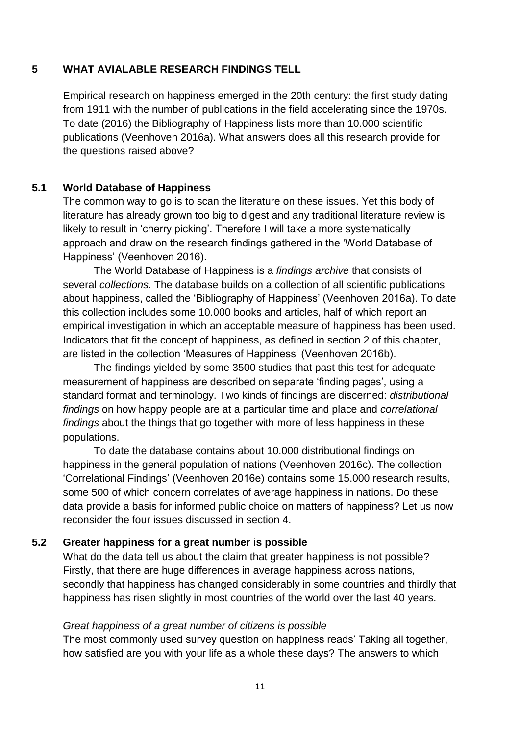#### **5 WHAT AVIALABLE RESEARCH FINDINGS TELL**

Empirical research on happiness emerged in the 20th century: the first study dating from 1911 with the number of publications in the field accelerating since the 1970s. To date (2016) the Bibliography of Happiness lists more than 10.000 scientific publications (Veenhoven 2016a). What answers does all this research provide for the questions raised above?

## **5.1 World Database of Happiness**

The common way to go is to scan the literature on these issues. Yet this body of literature has already grown too big to digest and any traditional literature review is likely to result in 'cherry picking'. Therefore I will take a more systematically approach and draw on the research findings gathered in the 'World Database of Happiness' (Veenhoven 2016).

The World Database of Happiness is a *findings archive* that consists of several *collections*. The database builds on a collection of all scientific publications about happiness, called the 'Bibliography of Happiness' (Veenhoven 2016a). To date this collection includes some 10.000 books and articles, half of which report an empirical investigation in which an acceptable measure of happiness has been used. Indicators that fit the concept of happiness, as defined in section 2 of this chapter, are listed in the collection 'Measures of Happiness' (Veenhoven 2016b).

The findings yielded by some 3500 studies that past this test for adequate measurement of happiness are described on separate 'finding pages', using a standard format and terminology. Two kinds of findings are discerned: *distributional findings* on how happy people are at a particular time and place and *correlational findings* about the things that go together with more of less happiness in these populations.

To date the database contains about 10.000 distributional findings on happiness in the general population of nations (Veenhoven 2016c). The collection 'Correlational Findings' (Veenhoven 2016e) contains some 15.000 research results, some 500 of which concern correlates of average happiness in nations. Do these data provide a basis for informed public choice on matters of happiness? Let us now reconsider the four issues discussed in section 4.

## **5.2 Greater happiness for a great number is possible**

What do the data tell us about the claim that greater happiness is not possible? Firstly, that there are huge differences in average happiness across nations, secondly that happiness has changed considerably in some countries and thirdly that happiness has risen slightly in most countries of the world over the last 40 years.

## *Great happiness of a great number of citizens is possible*

The most commonly used survey question on happiness reads' Taking all together, how satisfied are you with your life as a whole these days? The answers to which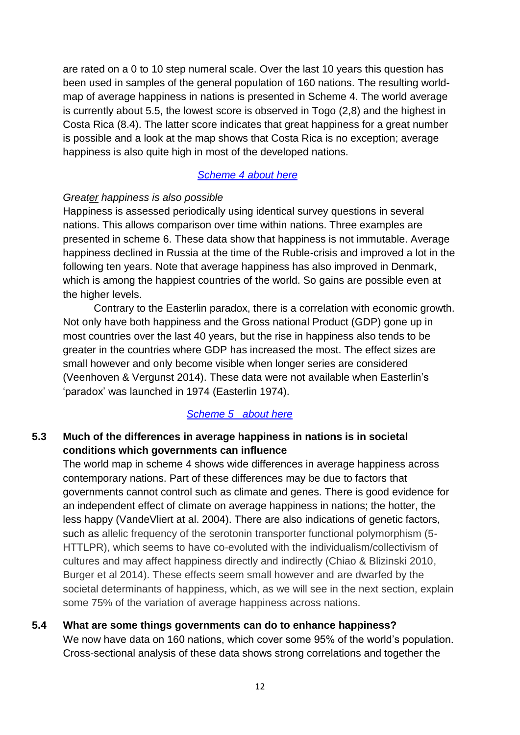are rated on a 0 to 10 step numeral scale. Over the last 10 years this question has been used in samples of the general population of 160 nations. The resulting worldmap of average happiness in nations is presented in Scheme 4. The world average is currently about 5.5, the lowest score is observed in Togo (2,8) and the highest in Costa Rica (8.4). The latter score indicates that great happiness for a great number is possible and a look at the map shows that Costa Rica is no exception; average happiness is also quite high in most of the developed nations.

## *Scheme 4 [about here](#page-23-0)*

## *Greater happiness is also possible*

Happiness is assessed periodically using identical survey questions in several nations. This allows comparison over time within nations. Three examples are presented in scheme 6. These data show that happiness is not immutable. Average happiness declined in Russia at the time of the Ruble-crisis and improved a lot in the following ten years. Note that average happiness has also improved in Denmark, which is among the happiest countries of the world. So gains are possible even at the higher levels.

Contrary to the Easterlin paradox, there is a correlation with economic growth. Not only have both happiness and the Gross national Product (GDP) gone up in most countries over the last 40 years, but the rise in happiness also tends to be greater in the countries where GDP has increased the most. The effect sizes are small however and only become visible when longer series are considered (Veenhoven & Vergunst 2014). These data were not available when Easterlin's 'paradox' was launched in 1974 (Easterlin 1974).

## *[Scheme 5 about here](#page-24-0)*

# **5.3 Much of the differences in average happiness in nations is in societal conditions which governments can influence**

The world map in scheme 4 shows wide differences in average happiness across contemporary nations. Part of these differences may be due to factors that governments cannot control such as climate and genes. There is good evidence for an independent effect of climate on average happiness in nations; the hotter, the less happy (VandeVliert at al. 2004). There are also indications of genetic factors, such as allelic frequency of the serotonin transporter functional polymorphism (5- HTTLPR), which seems to have co-evoluted with the individualism/collectivism of cultures and may affect happiness directly and indirectly (Chiao & Blizinski 2010, Burger et al 2014). These effects seem small however and are dwarfed by the societal determinants of happiness, which, as we will see in the next section, explain some 75% of the variation of average happiness across nations.

# **5.4 What are some things governments can do to enhance happiness?**

We now have data on 160 nations, which cover some 95% of the world's population. Cross-sectional analysis of these data shows strong correlations and together the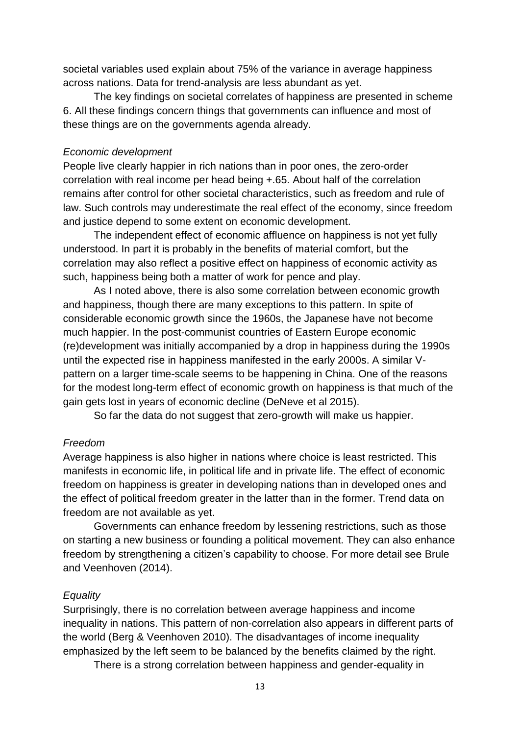societal variables used explain about 75% of the variance in average happiness across nations. Data for trend-analysis are less abundant as yet.

The key findings on societal correlates of happiness are presented in scheme 6. All these findings concern things that governments can influence and most of these things are on the governments agenda already.

#### *Economic development*

People live clearly happier in rich nations than in poor ones, the zero-order correlation with real income per head being +.65. About half of the correlation remains after control for other societal characteristics, such as freedom and rule of law. Such controls may underestimate the real effect of the economy, since freedom and justice depend to some extent on economic development.

The independent effect of economic affluence on happiness is not yet fully understood. In part it is probably in the benefits of material comfort, but the correlation may also reflect a positive effect on happiness of economic activity as such, happiness being both a matter of work for pence and play.

As I noted above, there is also some correlation between economic growth and happiness, though there are many exceptions to this pattern. In spite of considerable economic growth since the 1960s, the Japanese have not become much happier. In the post-communist countries of Eastern Europe economic (re)development was initially accompanied by a drop in happiness during the 1990s until the expected rise in happiness manifested in the early 2000s. A similar Vpattern on a larger time-scale seems to be happening in China. One of the reasons for the modest long-term effect of economic growth on happiness is that much of the gain gets lost in years of economic decline (DeNeve et al 2015).

So far the data do not suggest that zero-growth will make us happier.

#### *Freedom*

Average happiness is also higher in nations where choice is least restricted. This manifests in economic life, in political life and in private life. The effect of economic freedom on happiness is greater in developing nations than in developed ones and the effect of political freedom greater in the latter than in the former. Trend data on freedom are not available as yet.

Governments can enhance freedom by lessening restrictions, such as those on starting a new business or founding a political movement. They can also enhance freedom by strengthening a citizen's capability to choose. For more detail see Brule and Veenhoven (2014).

#### *Equality*

Surprisingly, there is no correlation between average happiness and income inequality in nations. This pattern of non-correlation also appears in different parts of the world (Berg & Veenhoven 2010). The disadvantages of income inequality emphasized by the left seem to be balanced by the benefits claimed by the right.

There is a strong correlation between happiness and gender-equality in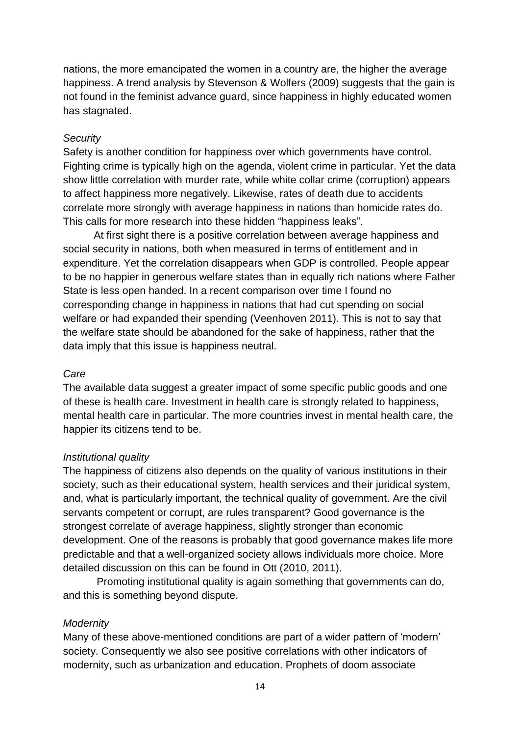nations, the more emancipated the women in a country are, the higher the average happiness. A trend analysis by Stevenson & Wolfers (2009) suggests that the gain is not found in the feminist advance guard, since happiness in highly educated women has stagnated.

#### *Security*

Safety is another condition for happiness over which governments have control. Fighting crime is typically high on the agenda, violent crime in particular. Yet the data show little correlation with murder rate, while white collar crime (corruption) appears to affect happiness more negatively. Likewise, rates of death due to accidents correlate more strongly with average happiness in nations than homicide rates do. This calls for more research into these hidden "happiness leaks".

At first sight there is a positive correlation between average happiness and social security in nations, both when measured in terms of entitlement and in expenditure. Yet the correlation disappears when GDP is controlled. People appear to be no happier in generous welfare states than in equally rich nations where Father State is less open handed. In a recent comparison over time I found no corresponding change in happiness in nations that had cut spending on social welfare or had expanded their spending (Veenhoven 2011). This is not to say that the welfare state should be abandoned for the sake of happiness, rather that the data imply that this issue is happiness neutral.

#### *Care*

The available data suggest a greater impact of some specific public goods and one of these is health care. Investment in health care is strongly related to happiness, mental health care in particular. The more countries invest in mental health care, the happier its citizens tend to be.

#### *Institutional quality*

The happiness of citizens also depends on the quality of various institutions in their society, such as their educational system, health services and their juridical system, and, what is particularly important, the technical quality of government. Are the civil servants competent or corrupt, are rules transparent? Good governance is the strongest correlate of average happiness, slightly stronger than economic development. One of the reasons is probably that good governance makes life more predictable and that a well-organized society allows individuals more choice. More detailed discussion on this can be found in Ott (2010, 2011).

Promoting institutional quality is again something that governments can do, and this is something beyond dispute.

#### *Modernity*

Many of these above-mentioned conditions are part of a wider pattern of 'modern' society. Consequently we also see positive correlations with other indicators of modernity, such as urbanization and education. Prophets of doom associate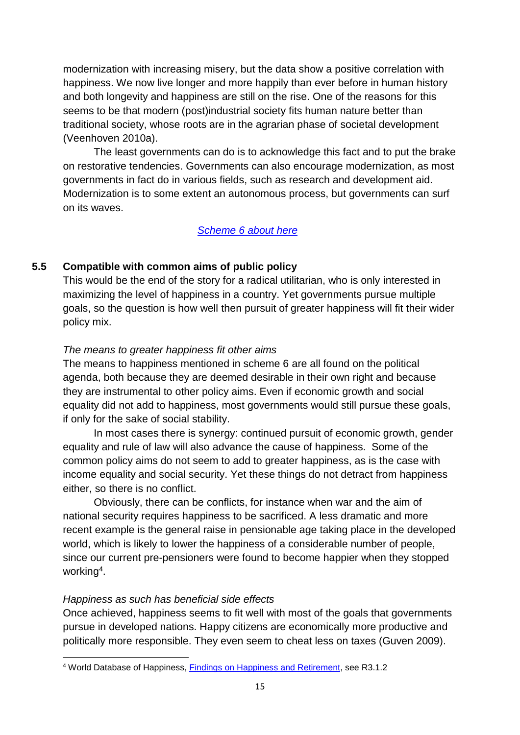modernization with increasing misery, but the data show a positive correlation with happiness. We now live longer and more happily than ever before in human history and both longevity and happiness are still on the rise. One of the reasons for this seems to be that modern (post)industrial society fits human nature better than traditional society, whose roots are in the agrarian phase of societal development (Veenhoven 2010a).

The least governments can do is to acknowledge this fact and to put the brake on restorative tendencies. Governments can also encourage modernization, as most governments in fact do in various fields, such as research and development aid. Modernization is to some extent an autonomous process, but governments can surf on its waves.

#### *Scheme 6 [about here](#page-25-0)*

## **5.5 Compatible with common aims of public policy**

This would be the end of the story for a radical utilitarian, who is only interested in maximizing the level of happiness in a country. Yet governments pursue multiple goals, so the question is how well then pursuit of greater happiness will fit their wider policy mix.

#### *The means to greater happiness fit other aims*

The means to happiness mentioned in scheme 6 are all found on the political agenda, both because they are deemed desirable in their own right and because they are instrumental to other policy aims. Even if economic growth and social equality did not add to happiness, most governments would still pursue these goals, if only for the sake of social stability.

In most cases there is synergy: continued pursuit of economic growth, gender equality and rule of law will also advance the cause of happiness. Some of the common policy aims do not seem to add to greater happiness, as is the case with income equality and social security. Yet these things do not detract from happiness either, so there is no conflict.

Obviously, there can be conflicts, for instance when war and the aim of national security requires happiness to be sacrificed. A less dramatic and more recent example is the general raise in pensionable age taking place in the developed world, which is likely to lower the happiness of a considerable number of people, since our current pre-pensioners were found to become happier when they stopped working<sup>4</sup>.

#### *Happiness as such has beneficial side effects*

**.** 

Once achieved, happiness seems to fit well with most of the goals that governments pursue in developed nations. Happy citizens are economically more productive and politically more responsible. They even seem to cheat less on taxes (Guven 2009).

<sup>4</sup> World Database of Happiness, [Findings on Happiness and Retirement,](http://worlddatabaseofhappiness.eur.nl/hap_cor/top_sub.php?code=R3) see R3.1.2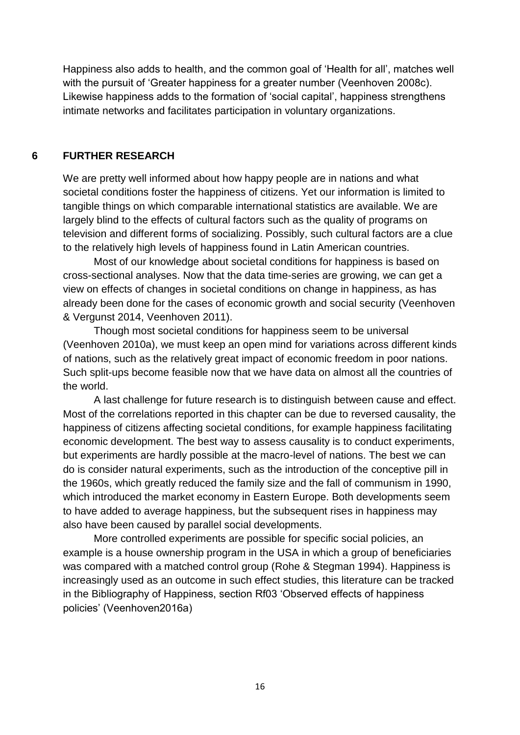Happiness also adds to health, and the common goal of 'Health for all', matches well with the pursuit of 'Greater happiness for a greater number (Veenhoven 2008c). Likewise happiness adds to the formation of 'social capital', happiness strengthens intimate networks and facilitates participation in voluntary organizations.

#### **6 FURTHER RESEARCH**

We are pretty well informed about how happy people are in nations and what societal conditions foster the happiness of citizens. Yet our information is limited to tangible things on which comparable international statistics are available. We are largely blind to the effects of cultural factors such as the quality of programs on television and different forms of socializing. Possibly, such cultural factors are a clue to the relatively high levels of happiness found in Latin American countries.

Most of our knowledge about societal conditions for happiness is based on cross-sectional analyses. Now that the data time-series are growing, we can get a view on effects of changes in societal conditions on change in happiness, as has already been done for the cases of economic growth and social security (Veenhoven & Vergunst 2014, Veenhoven 2011).

Though most societal conditions for happiness seem to be universal (Veenhoven 2010a), we must keep an open mind for variations across different kinds of nations, such as the relatively great impact of economic freedom in poor nations. Such split-ups become feasible now that we have data on almost all the countries of the world.

A last challenge for future research is to distinguish between cause and effect. Most of the correlations reported in this chapter can be due to reversed causality, the happiness of citizens affecting societal conditions, for example happiness facilitating economic development. The best way to assess causality is to conduct experiments, but experiments are hardly possible at the macro-level of nations. The best we can do is consider natural experiments, such as the introduction of the conceptive pill in the 1960s, which greatly reduced the family size and the fall of communism in 1990, which introduced the market economy in Eastern Europe. Both developments seem to have added to average happiness, but the subsequent rises in happiness may also have been caused by parallel social developments.

More controlled experiments are possible for specific social policies, an example is a house ownership program in the USA in which a group of beneficiaries was compared with a matched control group (Rohe & Stegman 1994). Happiness is increasingly used as an outcome in such effect studies, this literature can be tracked in the Bibliography of Happiness, section Rf03 'Observed effects of happiness policies' (Veenhoven2016a)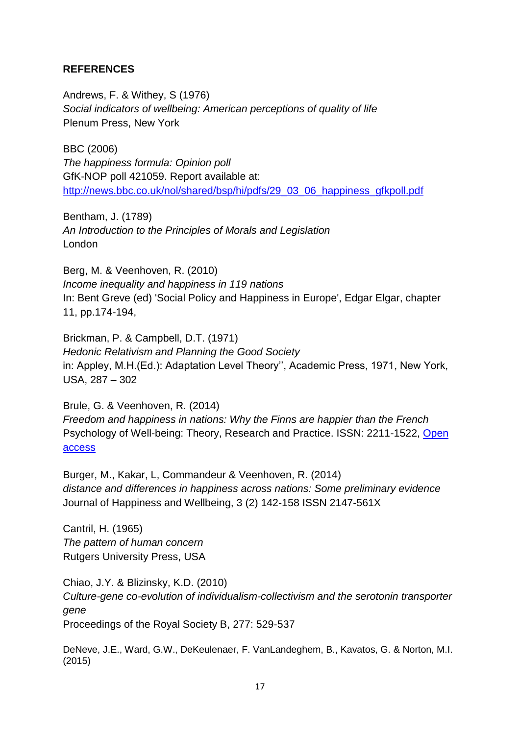#### **REFERENCES**

Andrews, F. & Withey, S (1976) *Social indicators of wellbeing: American perceptions of quality of life* Plenum Press, New York

BBC (2006) *The happiness formula: Opinion poll* GfK-NOP poll 421059. Report available at: [http://news.bbc.co.uk/nol/shared/bsp/hi/pdfs/29\\_03\\_06\\_happiness\\_gfkpoll.pdf](http://news.bbc.co.uk/nol/shared/bsp/hi/pdfs/29_03_06_happiness_gfkpoll.pdf)

Bentham, J. (1789) *An Introduction to the Principles of Morals and Legislation* London

Berg, M. & Veenhoven, R. (2010) *Income inequality and happiness in 119 nations* In: Bent Greve (ed) 'Social Policy and Happiness in Europe', Edgar Elgar, chapter 11, pp.174-194,

Brickman, P. & Campbell, D.T. (1971) *Hedonic Relativism and Planning the Good Society* in: Appley, M.H.(Ed.): Adaptation Level Theory'', Academic Press, 1971, New York, USA, 287 – 302

Brule, G. & Veenhoven, R. (2014) *Freedom and happiness in nations: Why the Finns are happier than the French* Psychology of Well-being: Theory, Research and Practice. ISSN: 2211-1522, [Open](http://www.psywb.com/content/4/1/17)  [access](http://www.psywb.com/content/4/1/17)

Burger, M., Kakar, L, Commandeur & Veenhoven, R. (2014) *distance and differences in happiness across nations: Some preliminary evidence* Journal of Happiness and Wellbeing, 3 (2) 142-158 ISSN 2147-561X

Cantril, H. (1965) *The pattern of human concern* Rutgers University Press, USA

Chiao, J.Y. & Blizinsky, K.D. (2010) *Culture-gene co-evolution of individualism-collectivism and the serotonin transporter gene* Proceedings of the Royal Society B, 277: 529-537

DeNeve, J.E., Ward, G.W., DeKeulenaer, F. VanLandeghem, B., Kavatos, G. & Norton, M.I. (2015)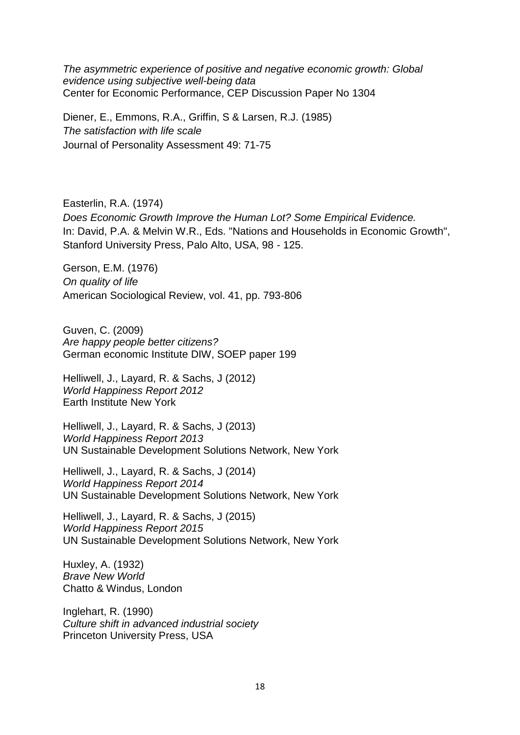*The asymmetric experience of positive and negative economic growth: Global evidence using subjective well-being data* Center for Economic Performance, CEP Discussion Paper No 1304

Diener, E., Emmons, R.A., Griffin, S & Larsen, R.J. (1985) *The satisfaction with life scale* Journal of Personality Assessment 49: 71-75

Easterlin, R.A. (1974) *Does Economic Growth Improve the Human Lot? Some Empirical Evidence.*  In: David, P.A. & Melvin W.R., Eds. "Nations and Households in Economic Growth", Stanford University Press, Palo Alto, USA, 98 - 125.

Gerson, E.M. (1976) *On quality of life* American Sociological Review, vol. 41, pp. 793-806

Guven, C. (2009) *Are happy people better citizens?* German economic Institute DIW, SOEP paper 199

Helliwell, J., Layard, R. & Sachs, J (2012) *World Happiness Report 2012* Earth Institute New York

Helliwell, J., Layard, R. & Sachs, J (2013) *World Happiness Report 2013* UN Sustainable Development Solutions Network, New York

Helliwell, J., Layard, R. & Sachs, J (2014) *World Happiness Report 2014* UN Sustainable Development Solutions Network, New York

Helliwell, J., Layard, R. & Sachs, J (2015) *World Happiness Report 2015* UN Sustainable Development Solutions Network, New York

Huxley, A. (1932) *Brave New World* Chatto & Windus, London

Inglehart, R. (1990) *Culture shift in advanced industrial society* Princeton University Press, USA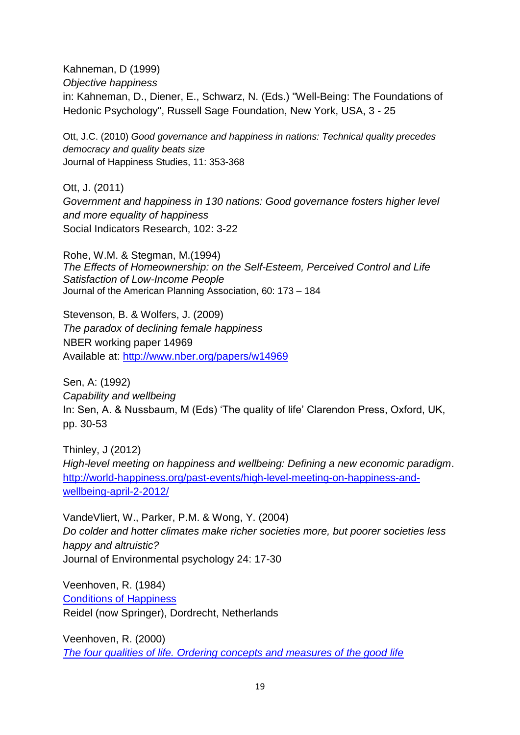Kahneman, D (1999) *Objective happiness* in: Kahneman, D., Diener, E., Schwarz, N. (Eds.) "Well-Being: The Foundations of Hedonic Psychology", Russell Sage Foundation, New York, USA, 3 - 25

Ott, J.C. (2010) *Good governance and happiness in nations: Technical quality precedes democracy and quality beats size* Journal of Happiness Studies, 11: 353-368

Ott, J. (2011) *Government and happiness in 130 nations: Good governance fosters higher level and more equality of happiness* Social Indicators Research, 102: 3-22

Rohe, W.M. & Stegman, M.(1994) *The Effects of Homeownership: on the Self-Esteem, Perceived Control and Life Satisfaction of Low-Income People* Journal of the American Planning Association, 60: 173 – 184

Stevenson, B. & Wolfers, J. (2009) *The paradox of declining female happiness* NBER working paper 14969 Available at:<http://www.nber.org/papers/w14969>

Sen, A: (1992) *Capability and wellbeing* In: Sen, A. & Nussbaum, M (Eds) 'The quality of life' Clarendon Press, Oxford, UK, pp. 30-53

Thinley, J (2012) *High-level meeting on happiness and wellbeing: Defining a new economic paradigm*. [http://world-happiness.org/past-events/high-level-meeting-on-happiness-and](http://world-happiness.org/past-events/high-level-meeting-on-happiness-and-wellbeing-april-2-2012/)[wellbeing-april-2-2012/](http://world-happiness.org/past-events/high-level-meeting-on-happiness-and-wellbeing-april-2-2012/)

VandeVliert, W., Parker, P.M. & Wong, Y. (2004) *Do colder and hotter climates make richer societies more, but poorer societies less happy and altruistic?* Journal of Environmental psychology 24: 17-30

Veenhoven, R. (1984) [Conditions of Happiness](https://personal.eur.nl/veenhoven/Pub1980s/84a-ab.htm) Reidel (now Springer), Dordrecht, Netherlands

Veenhoven, R. (2000) *[The four qualities of life. Ordering concepts and measures of the good life](https://personal.eur.nl/veenhoven/Pub2000s/2000c-full.pdf)*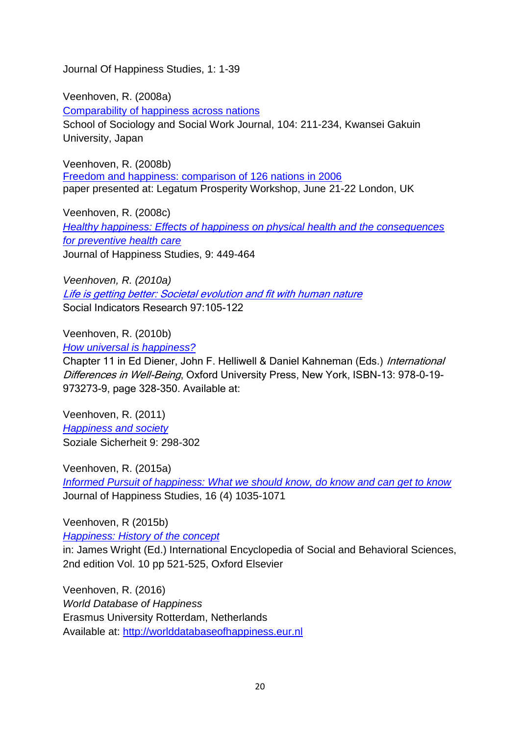Journal Of Happiness Studies, 1: 1-39

Veenhoven, R. (2008a) [Comparability of happiness across nations](https://personal.eur.nl/veenhoven/Pub2000s/2008f-full.pdf) School of Sociology and Social Work Journal, 104: 211-234, Kwansei Gakuin University, Japan

Veenhoven, R. (2008b) [Freedom and happiness: comparison of 126 nations in 2006](https://personal.eur.nl/veenhoven/Pub2000s/2008b-full.pdf) paper presented at: Legatum Prosperity Workshop, June 21-22 London, UK

Veenhoven, R. (2008c) *[Healthy happiness: Effects of happiness on physical health and the consequences](https://personal.eur.nl/veenhoven/Pub2000s/2008d-full.pdf)  [for preventive health care](https://personal.eur.nl/veenhoven/Pub2000s/2008d-full.pdf)* Journal of Happiness Studies, 9: 449-464

*Veenhoven, R. (2010a)* [Life is getting better: Societal evolution and fit with human nature](https://personal.eur.nl/veenhoven/Pub2010s/2010e-full.pdf) Social Indicators Research 97:105-122

Veenhoven, R. (2010b) *[How universal is happiness?](https://personal.eur.nl/veenhoven/Pub2010s/2010a-ab.html)*

Chapter 11 in Ed Diener, John F. Helliwell & Daniel Kahneman (Eds.) International Differences in Well-Being, Oxford University Press, New York, ISBN-13: 978-0-19-973273-9, page 328-350. Available at:

Veenhoven, R. (2011) *[Happiness and society](https://personal.eur.nl/veenhoven/Pub2010s/2011s-full.pdf)* Soziale Sicherheit 9: 298-302

Veenhoven, R. (2015a) *[Informed Pursuit of happiness: What we should know, do know and can get to know](https://personal.eur.nl/veenhoven/Pub2010s/2015p-full.pdf)* Journal of Happiness Studies, 16 (4) 1035-1071

Veenhoven, R (2015b)

*[Happiness: History of the concept](https://personal.eur.nl/veenhoven/Pub2010s/2015t-full.pdf)*

in: James Wright (Ed.) International Encyclopedia of Social and Behavioral Sciences, 2nd edition Vol. 10 pp 521-525, Oxford Elsevier

Veenhoven, R. (2016) *World Database of Happiness* Erasmus University Rotterdam, Netherlands Available at: [http://worlddatabaseofhappiness.eur.nl](http://worlddatabaseofhappiness.eur.nl/)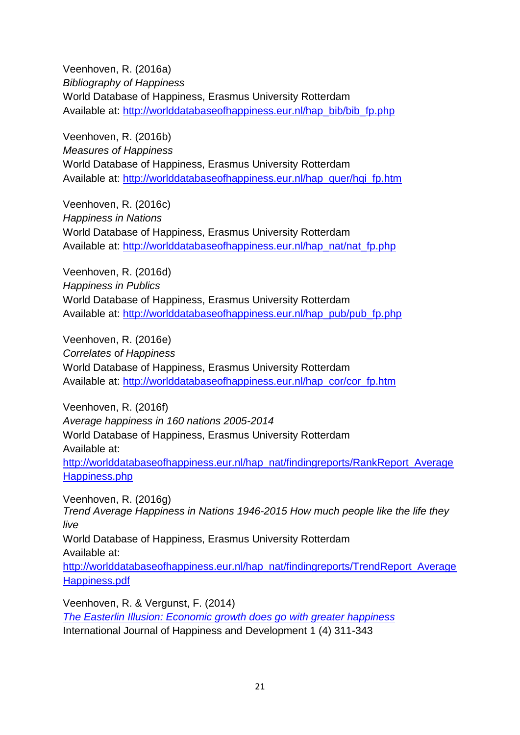Veenhoven, R. (2016a) *Bibliography of Happiness* World Database of Happiness, Erasmus University Rotterdam Available at: [http://worlddatabaseofhappiness.eur.nl/hap\\_bib/bib\\_fp.php](http://worlddatabaseofhappiness.eur.nl/)

Veenhoven, R. (2016b) *Measures of Happiness* World Database of Happiness, Erasmus University Rotterdam Available at: [http://worlddatabaseofhappiness.eur.nl/hap\\_quer/hqi\\_fp.htm](http://worlddatabaseofhappiness.eur.nl/hap_quer/hqi_fp.htm)

Veenhoven, R. (2016c) *Happiness in Nations* World Database of Happiness, Erasmus University Rotterdam Available at: [http://worlddatabaseofhappiness.eur.nl/hap\\_nat/nat\\_fp.php](http://worlddatabaseofhappiness.eur.nl/hap_nat/nat_fp.php)

Veenhoven, R. (2016d) *Happiness in Publics* World Database of Happiness, Erasmus University Rotterdam Available at: [http://worlddatabaseofhappiness.eur.nl/hap\\_pub/pub\\_fp.php](http://worlddatabaseofhappiness.eur.nl/)

Veenhoven, R. (2016e) *Correlates* o*f Happiness* World Database of Happiness, Erasmus University Rotterdam Available at: [http://worlddatabaseofhappiness.eur.nl/hap\\_cor/cor\\_fp.htm](http://worlddatabaseofhappiness.eur.nl/hap_cor/cor_fp.htm)

Veenhoven, R. (2016f) *Average happiness in 160 nations 2005-2014* World Database of Happiness, Erasmus University Rotterdam Available at: [http://worlddatabaseofhappiness.eur.nl/hap\\_nat/findingreports/RankReport\\_Average](http://worlddatabaseofhappiness.eur.nl/hap_nat/findingreports/RankReport_AverageHappiness.php) [Happiness.php](http://worlddatabaseofhappiness.eur.nl/hap_nat/findingreports/RankReport_AverageHappiness.php) Veenhoven, R. (2016g)

*Trend Average Happiness in Nations 1946-2015 How much people like the life they live* World Database of Happiness, Erasmus University Rotterdam Available at: [http://worlddatabaseofhappiness.eur.nl/hap\\_nat/findingreports/TrendReport\\_Average](http://worlddatabaseofhappiness.eur.nl/hap_nat/findingreports/TrendReport_AverageHappiness.pdf) [Happiness.pdf](http://worlddatabaseofhappiness.eur.nl/hap_nat/findingreports/TrendReport_AverageHappiness.pdf)

Veenhoven, R. & Vergunst, F. (2014) *[The Easterlin Illusion: Economic growth does go with greater happiness](https://personal.eur.nl/veenhoven/Pub2010s/2014e-full.pdf)* International Journal of Happiness and Development 1 (4) 311-343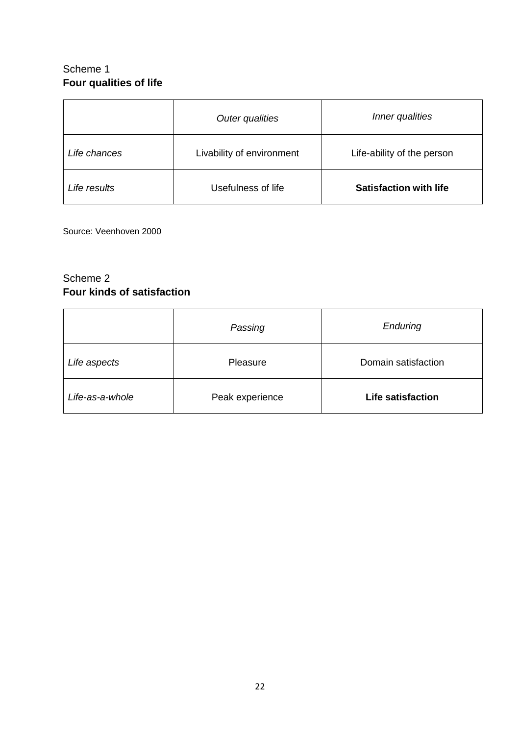# <span id="page-21-0"></span>Scheme 1 **Four qualities of life**

|              | Outer qualities           | Inner qualities               |  |
|--------------|---------------------------|-------------------------------|--|
| Life chances | Livability of environment | Life-ability of the person    |  |
| Life results | Usefulness of life        | <b>Satisfaction with life</b> |  |

Source: Veenhoven 2000

## <span id="page-21-1"></span>Scheme 2 **Four kinds of satisfaction**

|                 | Passing         | Enduring                 |  |
|-----------------|-----------------|--------------------------|--|
| Life aspects    | Pleasure        | Domain satisfaction      |  |
| Life-as-a-whole | Peak experience | <b>Life satisfaction</b> |  |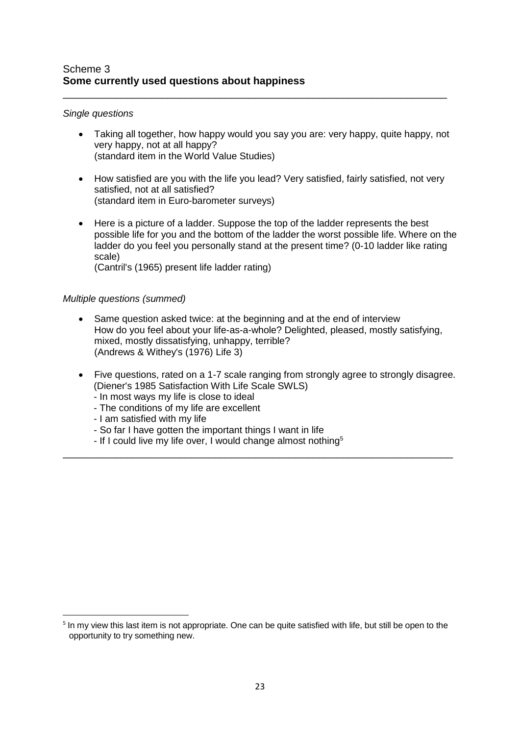#### *Single questions*

• Taking all together, how happy would you say you are: very happy, quite happy, not very happy, not at all happy? (standard item in the World Value Studies)

<span id="page-22-0"></span>\_\_\_\_\_\_\_\_\_\_\_\_\_\_\_\_\_\_\_\_\_\_\_\_\_\_\_\_\_\_\_\_\_\_\_\_\_\_\_\_\_\_\_\_\_\_\_\_\_\_\_\_\_\_\_\_\_\_\_\_\_\_\_\_\_\_

- How satisfied are you with the life you lead? Very satisfied, fairly satisfied, not very satisfied, not at all satisfied? (standard item in Euro-barometer surveys)
- Here is a picture of a ladder. Suppose the top of the ladder represents the best possible life for you and the bottom of the ladder the worst possible life. Where on the ladder do you feel you personally stand at the present time? (0-10 ladder like rating scale)

(Cantril's (1965) present life ladder rating)

#### *Multiple questions (summed)*

- Same question asked twice: at the beginning and at the end of interview How do you feel about your life-as-a-whole? Delighted, pleased, mostly satisfying, mixed, mostly dissatisfying, unhappy, terrible? (Andrews & Withey's (1976) Life 3)
- Five questions, rated on a 1-7 scale ranging from strongly agree to strongly disagree. (Diener's 1985 Satisfaction With Life Scale SWLS)

\_\_\_\_\_\_\_\_\_\_\_\_\_\_\_\_\_\_\_\_\_\_\_\_\_\_\_\_\_\_\_\_\_\_\_\_\_\_\_\_\_\_\_\_\_\_\_\_\_\_\_\_\_\_\_\_\_\_\_\_\_\_\_\_\_\_\_

- In most ways my life is close to ideal
- The conditions of my life are excellent
- I am satisfied with my life
- So far I have gotten the important things I want in life
- If I could live my life over, I would change almost nothing<sup>5</sup>

**<sup>.</sup>** <sup>5</sup> In my view this last item is not appropriate. One can be quite satisfied with life, but still be open to the opportunity to try something new.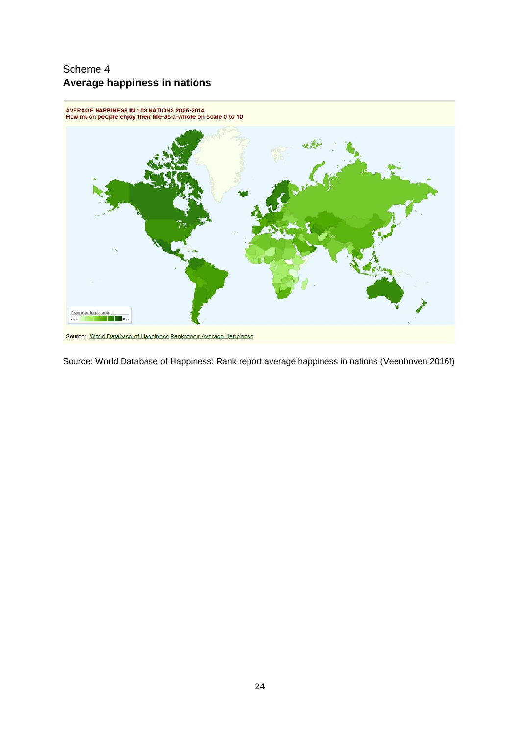# <span id="page-23-0"></span>Scheme 4 **Average happiness in nations**



Source: World Database of Happiness: Rank report average happiness in nations (Veenhoven 2016f)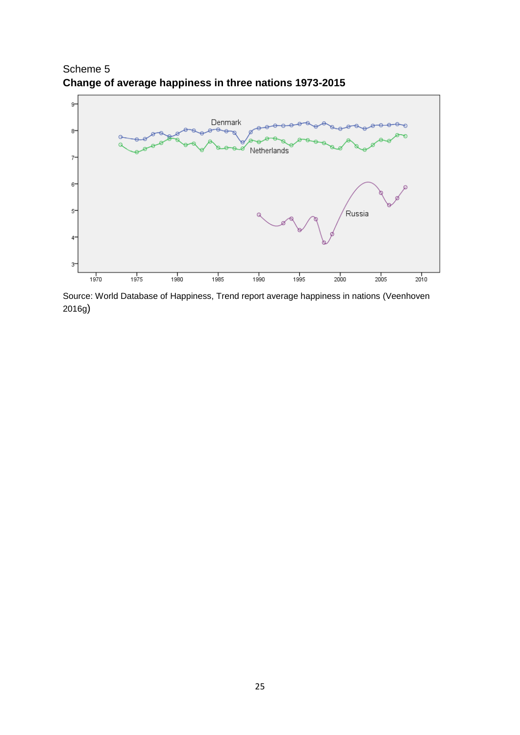

<span id="page-24-0"></span>Scheme 5 **Change of average happiness in three nations 1973-2015**

Source: World Database of Happiness, Trend report average happiness in nations (Veenhoven 2016g)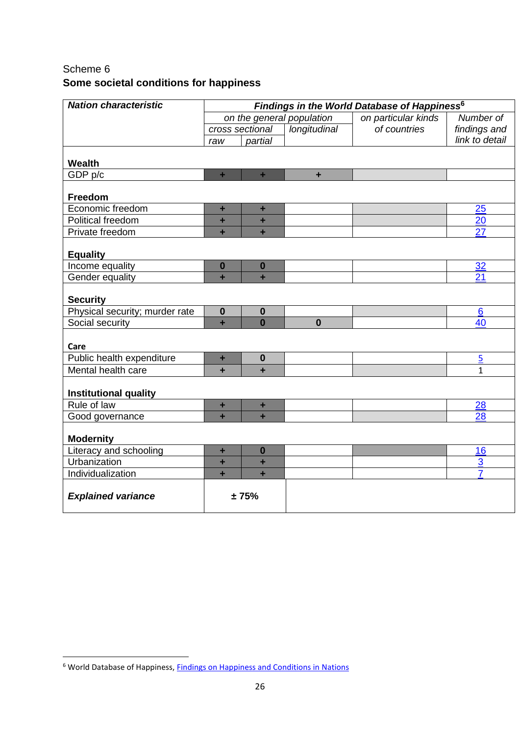# <span id="page-25-0"></span>Scheme 6 **Some societal conditions for happiness**

| <b>Nation characteristic</b>           | Findings in the World Database of Happiness <sup>6</sup> |                      |              |                     |                      |
|----------------------------------------|----------------------------------------------------------|----------------------|--------------|---------------------|----------------------|
|                                        | on the general population                                |                      |              | on particular kinds | Number of            |
|                                        | cross sectional                                          |                      | longitudinal | of countries        | findings and         |
|                                        | raw                                                      | partial              |              |                     | link to detail       |
|                                        |                                                          |                      |              |                     |                      |
| <b>Wealth</b>                          |                                                          |                      |              |                     |                      |
| GDP p/c                                | $\ddot{}$                                                | ÷                    | $\ddot{}$    |                     |                      |
| Freedom                                |                                                          |                      |              |                     |                      |
| Economic freedom                       | ÷                                                        | ٠                    |              |                     | 25                   |
| Political freedom                      | ٠                                                        | ٠                    |              |                     | 20                   |
| Private freedom                        | ٠                                                        | ٠                    |              |                     | 27                   |
| <b>Equality</b>                        |                                                          |                      |              |                     |                      |
| Income equality                        | $\bf{0}$                                                 | $\bf{0}$             |              |                     | 32                   |
| Gender equality                        | ٠                                                        | ÷                    |              |                     | 21                   |
| <b>Security</b>                        |                                                          |                      |              |                     |                      |
| Physical security; murder rate         | $\mathbf 0$                                              | $\bf{0}$             |              |                     | 6                    |
| Social security                        | ٠                                                        | $\overline{0}$       | $\bf{0}$     |                     | 40                   |
|                                        |                                                          |                      |              |                     |                      |
| Care                                   |                                                          |                      |              |                     |                      |
| Public health expenditure              | ٠                                                        | $\bf{0}$             |              |                     | $\overline{5}$       |
| Mental health care                     | $\ddot{}$                                                | $\ddot{}$            |              |                     | $\mathbf{1}$         |
| <b>Institutional quality</b>           |                                                          |                      |              |                     |                      |
| Rule of law                            | ٠                                                        | ٠                    |              |                     | 28                   |
| Good governance                        | ÷                                                        | $\ddot{\phantom{1}}$ |              |                     | 28                   |
|                                        |                                                          |                      |              |                     |                      |
| <b>Modernity</b>                       |                                                          | $\bf{0}$             |              |                     |                      |
| Literacy and schooling<br>Urbanization | ٠                                                        |                      |              |                     | 16<br>$\overline{3}$ |
| Individualization                      | ٠                                                        | ÷<br>$\ddot{}$       |              |                     | $\overline{7}$       |
|                                        | ÷                                                        |                      |              |                     |                      |
| <b>Explained variance</b>              |                                                          | ±75%                 |              |                     |                      |

**.** 

<sup>&</sup>lt;sup>6</sup> World Database of Happiness, **Findings on Happiness and Conditions in Nations**